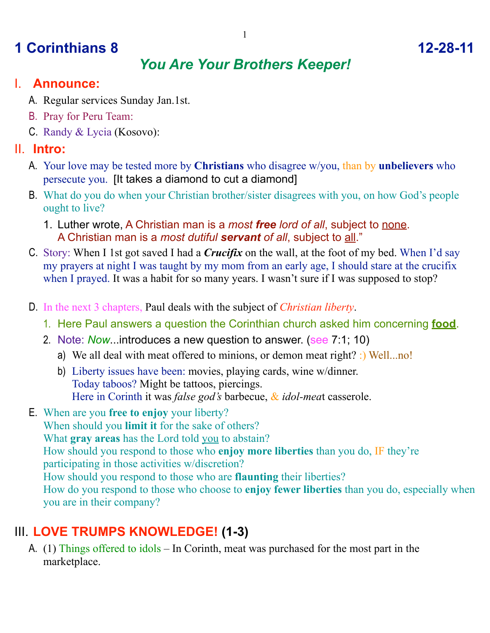# **1 Corinthians 8 12-28-11**

## *You Are Your Brothers Keeper!*

#### I. **Announce:**

- A. Regular services Sunday Jan.1st.
- B. Pray for Peru Team:
- C. Randy & Lycia (Kosovo):

#### II. **Intro:**

- A. Your love may be tested more by **Christians** who disagree w/you, than by **unbelievers** who persecute you. [It takes a diamond to cut a diamond]
- B. What do you do when your Christian brother/sister disagrees with you, on how God's people ought to live?
	- 1. Luther wrote, A Christian man is a *most free lord of all*, subject to none. A Christian man is a *most dutiful servant of all*, subject to all."
- C. Story: When I 1st got saved I had a *Crucifix* on the wall, at the foot of my bed. When I'd say my prayers at night I was taught by my mom from an early age, I should stare at the crucifix when I prayed. It was a habit for so many years. I wasn't sure if I was supposed to stop?
- D. In the next 3 chapters, Paul deals with the subject of *Christian liberty*.
	- 1. Here Paul answers a question the Corinthian church asked him concerning **food**.
	- 2. Note: *Now*...introduces a new question to answer. (see 7:1; 10)
		- a) We all deal with meat offered to minions, or demon meat right? :) Well...no!
		- b) Liberty issues have been: movies, playing cards, wine w/dinner. Today taboos? Might be tattoos, piercings. Here in Corinth it was *false god's* barbecue, & *idol-mea*t casserole.
- E. When are you **free to enjoy** your liberty? When should you **limit it** for the sake of others? What **gray areas** has the Lord told you to abstain? How should you respond to those who **enjoy more liberties** than you do, IF they're participating in those activities w/discretion? How should you respond to those who are **flaunting** their liberties? How do you respond to those who choose to **enjoy fewer liberties** than you do, especially when you are in their company?

## III. **LOVE TRUMPS KNOWLEDGE! (1-3)**

A. (1) Things offered to idols – In Corinth, meat was purchased for the most part in the marketplace.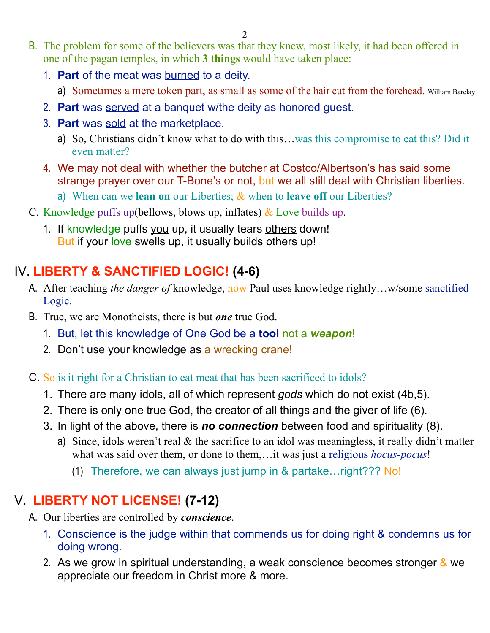- B. The problem for some of the believers was that they knew, most likely, it had been offered in one of the pagan temples, in which **3 things** would have taken place:
	- 1. **Part** of the meat was burned to a deity.
		- a) Sometimes a mere token part, as small as some of the hair cut from the forehead. William Barclay
	- 2. **Part** was served at a banquet w/the deity as honored guest.
	- 3. **Part** was sold at the marketplace.
		- a) So, Christians didn't know what to do with this…was this compromise to eat this? Did it even matter?
	- 4. We may not deal with whether the butcher at Costco/Albertson's has said some strange prayer over our T-Bone's or not, but we all still deal with Christian liberties.
		- a) When can we **lean on** our Liberties; & when to **leave off** our Liberties?
- C. Knowledge puffs up(bellows, blows up, inflates)  $\&$  Love builds up.
	- 1. If knowledge puffs you up, it usually tears others down! But if your love swells up, it usually builds others up!

## IV. **LIBERTY & SANCTIFIED LOGIC! (4-6)**

- A. After teaching *the danger of* knowledge, now Paul uses knowledge rightly…w/some sanctified Logic.
- B. True, we are Monotheists, there is but *one* true God.
	- 1. But, let this knowledge of One God be a **tool** not a *weapon*!
	- 2. Don't use your knowledge as a wrecking crane!
- C. So is it right for a Christian to eat meat that has been sacrificed to idols?
	- 1. There are many idols, all of which represent *gods* which do not exist (4b,5).
	- 2. There is only one true God, the creator of all things and the giver of life (6).
	- 3. In light of the above, there is *no connection* between food and spirituality (8).
		- a) Since, idols weren't real  $\&$  the sacrifice to an idol was meaningless, it really didn't matter what was said over them, or done to them,…it was just a religious *hocus-pocus*!
			- (1) Therefore, we can always just jump in & partake…right??? No!

## V. **LIBERTY NOT LICENSE! (7-12)**

- A. Our liberties are controlled by *conscience*.
	- 1. Conscience is the judge within that commends us for doing right & condemns us for doing wrong.
	- 2. As we grow in spiritual understanding, a weak conscience becomes stronger  $\&$  we appreciate our freedom in Christ more & more.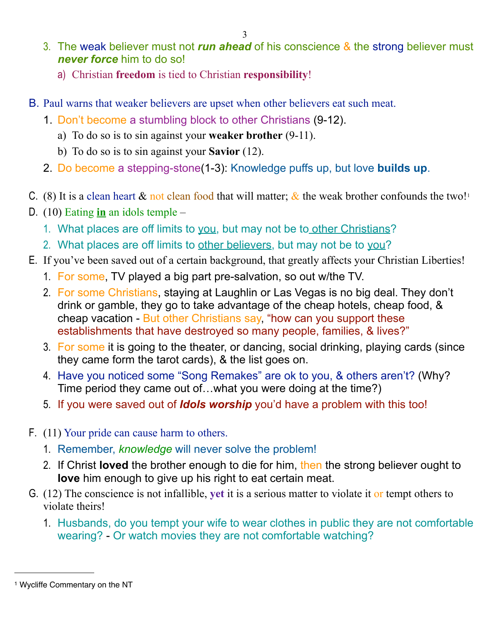- 3. The weak believer must not *run ahead* of his conscience & the strong believer must *never force* him to do so!
	- a) Christian **freedom** is tied to Christian **responsibility**!
- B. Paul warns that weaker believers are upset when other believers eat such meat.
	- 1. Don't become a stumbling block to other Christians (9-12).
		- a) To do so is to sin against your **weaker brother** (9-11).
		- b) To do so is to sin against your **Savior** (12).
	- 2. Do become a stepping-stone(1-3): Knowledge puffs up, but love **builds up**.
- C. (8) It is a clean heart  $\&$  not clean food that will matter;  $\&$  the weak brother confounds the two!<sup>[1](#page-2-0)</sup>
- D. (10) Eating **in** an idols temple
	- 1. What places are off limits to you, but may not be to other Christians?
	- 2. What places are off limits to other believers, but may not be to you?
- E. If you've been saved out of a certain background, that greatly affects your Christian Liberties!
	- 1. For some, TV played a big part pre-salvation, so out w/the TV.
	- 2. For some Christians, staying at Laughlin or Las Vegas is no big deal. They don't drink or gamble, they go to take advantage of the cheap hotels, cheap food, & cheap vacation - But other Christians say, "how can you support these establishments that have destroyed so many people, families, & lives?"
	- 3. For some it is going to the theater, or dancing, social drinking, playing cards (since they came form the tarot cards), & the list goes on.
	- 4. Have you noticed some "Song Remakes" are ok to you, & others aren't? (Why? Time period they came out of…what you were doing at the time?)
	- 5. If you were saved out of *Idols worship* you'd have a problem with this too!
- F. (11) Your pride can cause harm to others.
	- 1. Remember, *knowledge* will never solve the problem!
	- 2. If Christ **loved** the brother enough to die for him, then the strong believer ought to **love** him enough to give up his right to eat certain meat.
- G. (12) The conscience is not infallible, **yet** it is a serious matter to violate it or tempt others to violate theirs!
	- 1. Husbands, do you tempt your wife to wear clothes in public they are not comfortable wearing? - Or watch movies they are not comfortable watching?

<span id="page-2-0"></span><sup>1</sup> Wycliffe Commentary on the NT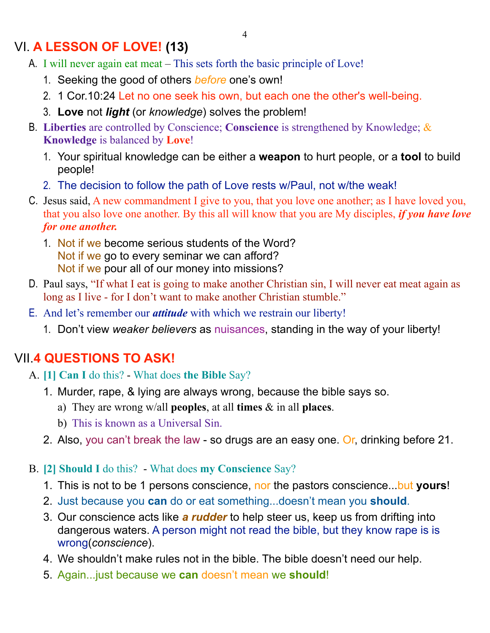#### VI. **A LESSON OF LOVE! (13)**

- A. I will never again eat meat This sets forth the basic principle of Love!
	- 1. Seeking the good of others *before* one's own!
	- 2. 1 Cor.10:24 Let no one seek his own, but each one the other's well-being.
	- 3. **Love** not *light* (or *knowledge*) solves the problem!
- B. **Liberties** are controlled by Conscience; **Conscience** is strengthened by Knowledge; & **Knowledge** is balanced by **Love**!
	- 1. Your spiritual knowledge can be either a **weapon** to hurt people, or a **tool** to build people!
	- 2. The decision to follow the path of Love rests w/Paul, not w/the weak!
- C. Jesus said, A new commandment I give to you, that you love one another; as I have loved you, that you also love one another. By this all will know that you are My disciples, *if you have love for one another.*
	- 1. Not if we become serious students of the Word? Not if we go to every seminar we can afford? Not if we pour all of our money into missions?
- D. Paul says, "If what I eat is going to make another Christian sin, I will never eat meat again as long as I live - for I don't want to make another Christian stumble."
- E. And let's remember our *attitude* with which we restrain our liberty!
	- 1. Don't view *weaker believers* as nuisances, standing in the way of your liberty!

## VII.**4 QUESTIONS TO ASK!**

- A. **[1] Can I** do this? What does **the Bible** Say?
	- 1. Murder, rape, & lying are always wrong, because the bible says so.
		- a) They are wrong w/all **peoples**, at all **times** & in all **places**.
		- b) This is known as a Universal Sin.
	- 2. Also, you can't break the law so drugs are an easy one. Or, drinking before 21.
- B. **[2] Should I** do this? What does **my Conscience** Say?
	- 1. This is not to be 1 persons conscience, nor the pastors conscience...but **yours**!
	- 2. Just because you **can** do or eat something...doesn't mean you **should**.
	- 3. Our conscience acts like *a rudder* to help steer us, keep us from drifting into dangerous waters. A person might not read the bible, but they know rape is is wrong(*conscience*).
	- 4. We shouldn't make rules not in the bible. The bible doesn't need our help.
	- 5. Again...just because we **can** doesn't mean we **should**!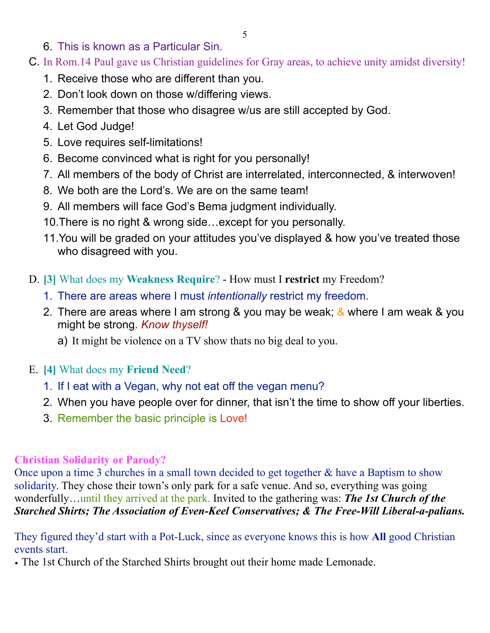- 6. This is known as a Particular Sin.
- C. In Rom.14 Paul gave us Christian guidelines for Gray areas, to achieve unity amidst diversity!
	- 1. Receive those who are different than you.
	- 2. Don't look down on those w/differing views.
	- 3. Remember that those who disagree w/us are still accepted by God.
	- 4. Let God Judge!
	- 5. Love requires self-limitations!
	- 6. Become convinced what is right for you personally!
	- 7. All members of the body of Christ are interrelated, interconnected, & interwoven!
	- 8. We both are the Lord's. We are on the same team!
	- 9. All members will face God's Bema judgment individually.
	- 10.There is no right & wrong side…except for you personally.
	- 11.You will be graded on your attitudes you've displayed & how you've treated those who disagreed with you.
- D. **[3]** What does my **Weakness Require**? How must I **restrict** my Freedom?
	- 1. There are areas where I must *intentionally* restrict my freedom.
	- 2. There are areas where I am strong & you may be weak; & where I am weak & you might be strong. *Know thyself!*
		- a) It might be violence on a TV show thats no big deal to you.
- E. **[4]** What does my **Friend Need**?
	- 1. If I eat with a Vegan, why not eat off the vegan menu?
	- 2. When you have people over for dinner, that isn't the time to show off your liberties.
	- 3. Remember the basic principle is Love!

#### **Christian Solidarity or Parody?**

Once upon a time 3 churches in a small town decided to get together & have a Baptism to show solidarity. They chose their town's only park for a safe venue. And so, everything was going wonderfully…until they arrived at the park. Invited to the gathering was: *The 1st Church of the Starched Shirts; The Association of Even-Keel Conservatives; & The Free-Will Liberal-a-palians.* 

They figured they'd start with a Pot-Luck, since as everyone knows this is how **All** good Christian events start.

• The 1st Church of the Starched Shirts brought out their home made Lemonade.